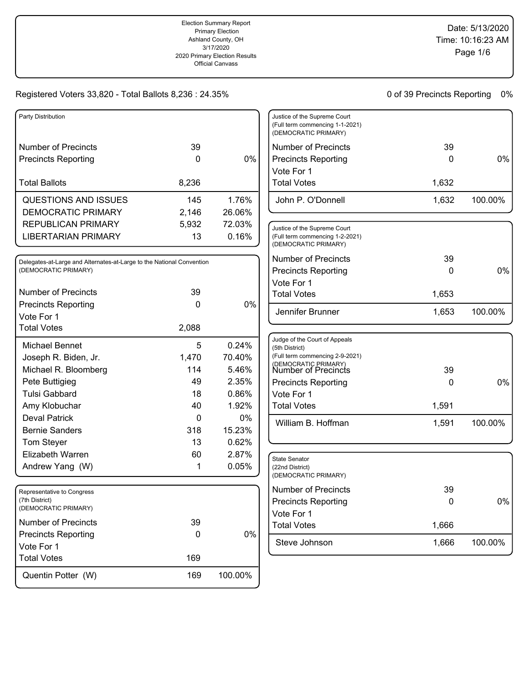Justice of the Supreme Court (Full term commencing 1-1-2021)

#### Registered Voters 33,820 - Total Ballots 8,236 : 24.35%

| Party Distribution         |       |        |
|----------------------------|-------|--------|
| Number of Precincts        | 39    |        |
| <b>Precincts Reporting</b> | O     | 0%     |
| <b>Total Ballots</b>       | 8,236 |        |
|                            |       |        |
| QUESTIONS AND ISSUES       | 145   | 1.76%  |
| <b>DEMOCRATIC PRIMARY</b>  | 2,146 | 26.06% |
| REPUBLICAN PRIMARY         | 5,932 | 72.03% |

Delegates-at-Large and Alternates-at-Large to the National Convention (DEMOCRATIC PRIMARY) Number of Precincts 39 Precincts Reporting 0 Vote For 1 Michael Bennet 6 100 124% Joseph R. Biden, Jr. 1,470 70.40% Michael R. Bloomberg 114 5.46% Pete Buttigieg and the state of the 49 and 2.35% Tulsi Gabbard 18 0.86% Amy Klobuchar **40** 1.92% Total Votes 2,088 0%

| Elizabeth Warren                                                     | 60  | 2.87%   |
|----------------------------------------------------------------------|-----|---------|
| Andrew Yang (W)                                                      |     | 0.05%   |
|                                                                      |     |         |
| Representative to Congress<br>(7th District)<br>(DEMOCRATIC PRIMARY) |     |         |
| Number of Precincts                                                  | 39  |         |
| <b>Precincts Reporting</b>                                           |     | 0%      |
| Vote For 1                                                           |     |         |
| <b>Total Votes</b>                                                   | 169 |         |
| Quentin Potter (W)                                                   | 169 | 100.00% |

Deval Patrick 0 0% Bernie Sanders 318 15.23% Tom Steyer 13 0.62%

| (DEMOCRATIC PRIMARY)                                                                                                              |       |         |
|-----------------------------------------------------------------------------------------------------------------------------------|-------|---------|
| <b>Number of Precincts</b>                                                                                                        | 39    |         |
| <b>Precincts Reporting</b>                                                                                                        | 0     | 0%      |
| Vote For 1                                                                                                                        |       |         |
| <b>Total Votes</b>                                                                                                                | 1,632 |         |
| John P. O'Donnell                                                                                                                 | 1,632 | 100.00% |
| Justice of the Supreme Court<br>(Full term commencing 1-2-2021)<br>(DEMOCRATIC PRIMARY)                                           |       |         |
| <b>Number of Precincts</b>                                                                                                        | 39    |         |
| <b>Precincts Reporting</b>                                                                                                        | 0     | 0%      |
| Vote For 1                                                                                                                        |       |         |
| <b>Total Votes</b>                                                                                                                | 1,653 |         |
| Jennifer Brunner                                                                                                                  | 1,653 | 100.00% |
|                                                                                                                                   |       |         |
| Judge of the Court of Appeals<br>(5th District)<br>(Full term commencing 2-9-2021)<br>(DEMOCRATIC PRIMARY)<br>Number of Precincts | 39    |         |
| <b>Precincts Reporting</b>                                                                                                        | 0     | 0%      |
| Vote For 1                                                                                                                        |       |         |
| <b>Total Votes</b>                                                                                                                | 1,591 |         |
| William B. Hoffman                                                                                                                | 1,591 | 100.00% |
|                                                                                                                                   |       |         |
| <b>State Senator</b><br>(22nd District)<br>(DEMOCRATIC PRIMARY)                                                                   |       |         |
| <b>Number of Precincts</b>                                                                                                        | 39    |         |
| <b>Precincts Reporting</b>                                                                                                        | 0     | 0%      |
| Vote For 1                                                                                                                        |       |         |
| <b>Total Votes</b>                                                                                                                | 1,666 |         |
| Steve Johnson                                                                                                                     | 1,666 | 100.00% |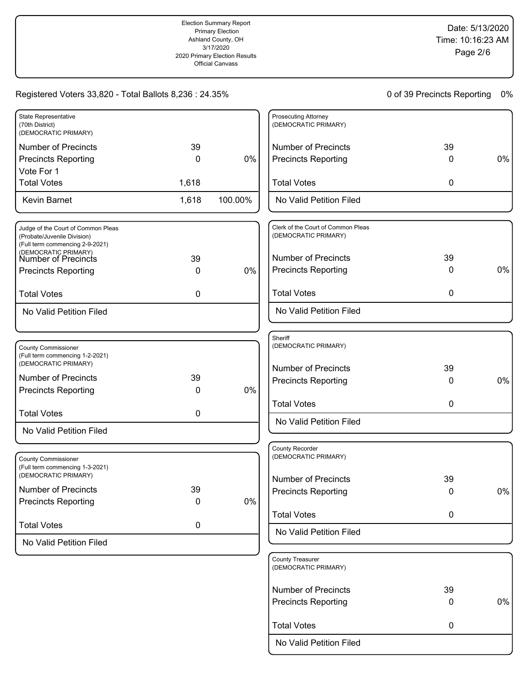| <b>State Representative</b><br>(70th District)<br>(DEMOCRATIC PRIMARY) |       |         |
|------------------------------------------------------------------------|-------|---------|
| Number of Precincts                                                    | 39    |         |
| <b>Precincts Reporting</b>                                             | O     | 0%      |
| Vote For 1                                                             |       |         |
| <b>Total Votes</b>                                                     | 1,618 |         |
| Kevin Barnet                                                           | 1,618 | 100.00% |

| Judge of the Court of Common Pleas<br>(Probate/Juvenile Division)<br>(Full term commencing 2-9-2021) |    |    |
|------------------------------------------------------------------------------------------------------|----|----|
| (DEMOCRATIC PRIMARY)<br>Number of Precincts                                                          | 39 |    |
| <b>Precincts Reporting</b>                                                                           |    | 0% |
|                                                                                                      |    |    |
| Total Votes                                                                                          |    |    |
| No Valid Petition Filed                                                                              |    |    |

| <b>County Commissioner</b><br>(Full term commencing 1-2-2021)<br>(DEMOCRATIC PRIMARY) |    |    |
|---------------------------------------------------------------------------------------|----|----|
| Number of Precincts                                                                   | 39 |    |
| <b>Precincts Reporting</b>                                                            |    | 0% |
|                                                                                       |    |    |
| <b>Total Votes</b>                                                                    | 0  |    |
| No Valid Petition Filed                                                               |    |    |

| <b>County Commissioner</b><br>(Full term commencing 1-3-2021)<br>(DEMOCRATIC PRIMARY) |    |       |
|---------------------------------------------------------------------------------------|----|-------|
| Number of Precincts<br><b>Precincts Reporting</b>                                     | 39 | $0\%$ |
| <b>Total Votes</b>                                                                    |    |       |
| No Valid Petition Filed                                                               |    |       |

| <b>Prosecuting Attorney</b><br>(DEMOCRATIC PRIMARY) |         |       |
|-----------------------------------------------------|---------|-------|
| Number of Precincts<br><b>Precincts Reporting</b>   | 39<br>O | $0\%$ |
| <b>Total Votes</b>                                  | ი       |       |
| No Valid Petition Filed                             |         |       |
|                                                     |         |       |

| Clerk of the Court of Common Pleas<br>(DEMOCRATIC PRIMARY) |    |    |
|------------------------------------------------------------|----|----|
| Number of Precincts                                        | 39 |    |
| <b>Precincts Reporting</b>                                 | O  | 0% |
| <b>Total Votes</b>                                         | 0  |    |
| No Valid Petition Filed                                    |    |    |

| Sheriff<br>(DEMOCRATIC PRIMARY) |    |       |
|---------------------------------|----|-------|
| Number of Precincts             | 39 |       |
| <b>Precincts Reporting</b>      | O  | $0\%$ |
| <b>Total Votes</b>              | 0  |       |
| No Valid Petition Filed         |    |       |

| <b>County Recorder</b><br>(DEMOCRATIC PRIMARY)   |        |       |
|--------------------------------------------------|--------|-------|
| Number of Precincts                              | 39     |       |
| <b>Precincts Reporting</b><br><b>Total Votes</b> | O<br>0 | $0\%$ |
| No Valid Petition Filed                          |        |       |
|                                                  |        |       |

| <b>County Treasurer</b><br>(DEMOCRATIC PRIMARY)   |         |    |
|---------------------------------------------------|---------|----|
| <b>Number of Precincts</b><br>Precincts Reporting | 39<br>0 | 0% |
| <b>Total Votes</b>                                | 0       |    |
| No Valid Petition Filed                           |         |    |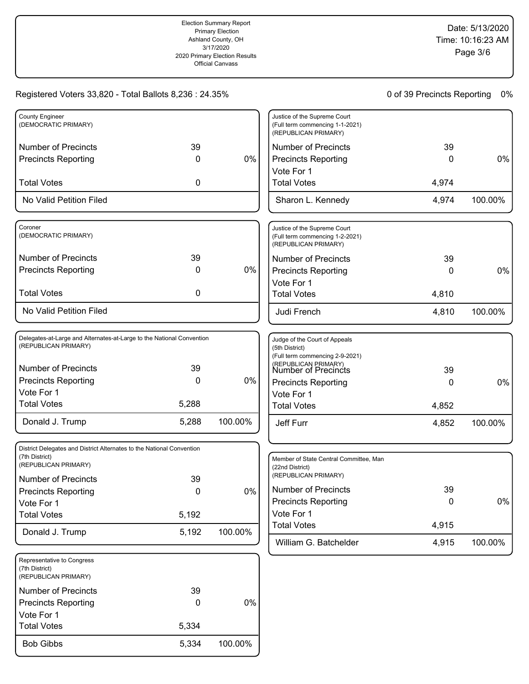| <b>County Engineer</b><br>(DEMOCRATIC PRIMARY) |    |    |
|------------------------------------------------|----|----|
| Number of Precincts<br>Precincts Reporting     | 39 | 0% |
| <b>Total Votes</b>                             |    |    |
| No Valid Petition Filed                        |    |    |

| Coroner<br>(DEMOCRATIC PRIMARY)                          |    |    |
|----------------------------------------------------------|----|----|
| <b>Number of Precincts</b><br><b>Precincts Reporting</b> | 39 | 0% |
| <b>Total Votes</b>                                       |    |    |
| No Valid Petition Filed                                  |    |    |

| Delegates-at-Large and Alternates-at-Large to the National Convention<br>(REPUBLICAN PRIMARY) |       |         |
|-----------------------------------------------------------------------------------------------|-------|---------|
| Number of Precincts                                                                           | 39    |         |
| <b>Precincts Reporting</b>                                                                    | 0     | 0%      |
| Vote For 1                                                                                    |       |         |
| <b>Total Votes</b>                                                                            | 5,288 |         |
| Donald J. Trump                                                                               | 5,288 | 100.00% |

| District Delegates and District Alternates to the National Convention<br>(7th District)<br>(REPUBLICAN PRIMARY) |       |         |
|-----------------------------------------------------------------------------------------------------------------|-------|---------|
| Number of Precincts                                                                                             | 39    |         |
| <b>Precincts Reporting</b>                                                                                      | 0     | 0%      |
| Vote For 1                                                                                                      |       |         |
| <b>Total Votes</b>                                                                                              | 5,192 |         |
| Donald J. Trump                                                                                                 | 5.192 | 100.00% |

| Representative to Congress<br>(7th District)<br>(REPUBLICAN PRIMARY) |       |         |
|----------------------------------------------------------------------|-------|---------|
| Number of Precincts                                                  | 39    |         |
| <b>Precincts Reporting</b>                                           | 0     | 0%      |
| Vote For 1                                                           |       |         |
| <b>Total Votes</b>                                                   | 5,334 |         |
| <b>Bob Gibbs</b>                                                     | 5.334 | 100.00% |

| Justice of the Supreme Court<br>(Full term commencing 1-1-2021)<br>(REPUBLICAN PRIMARY) |       |         |
|-----------------------------------------------------------------------------------------|-------|---------|
| <b>Number of Precincts</b>                                                              | 39    |         |
| <b>Precincts Reporting</b>                                                              |       | 0%      |
| Vote For 1                                                                              |       |         |
| <b>Total Votes</b>                                                                      | 4,974 |         |
| Sharon L. Kennedy                                                                       | 4.974 | 100.00% |
|                                                                                         |       |         |

| Justice of the Supreme Court<br>(Full term commencing 1-2-2021)<br>(REPUBLICAN PRIMARY) |       |         |
|-----------------------------------------------------------------------------------------|-------|---------|
| Number of Precincts                                                                     | 39    |         |
| <b>Precincts Reporting</b>                                                              | O     | 0%      |
| Vote For 1                                                                              |       |         |
| <b>Total Votes</b>                                                                      | 4.810 |         |
| Judi French                                                                             | 4.810 | 100.00% |

| Judge of the Court of Appeals<br>(5th District)<br>(Full term commencing 2-9-2021)<br>(REPUBLICAN PRIMARY)<br>Number of Precincts | 39    |         |
|-----------------------------------------------------------------------------------------------------------------------------------|-------|---------|
| <b>Precincts Reporting</b>                                                                                                        | 0     | 0%      |
| Vote For 1                                                                                                                        |       |         |
| <b>Total Votes</b>                                                                                                                | 4,852 |         |
| Jeff Furr                                                                                                                         | 4,852 | 100.00% |

| Member of State Central Committee, Man<br>(22nd District)<br>(REPUBLICAN PRIMARY) |              |         |
|-----------------------------------------------------------------------------------|--------------|---------|
| Number of Precincts                                                               | 39           |         |
| <b>Precincts Reporting</b>                                                        | $\mathbf{0}$ | 0%      |
| Vote For 1                                                                        |              |         |
| <b>Total Votes</b>                                                                | 4,915        |         |
| William G. Batchelder                                                             | 4.915        | 100.00% |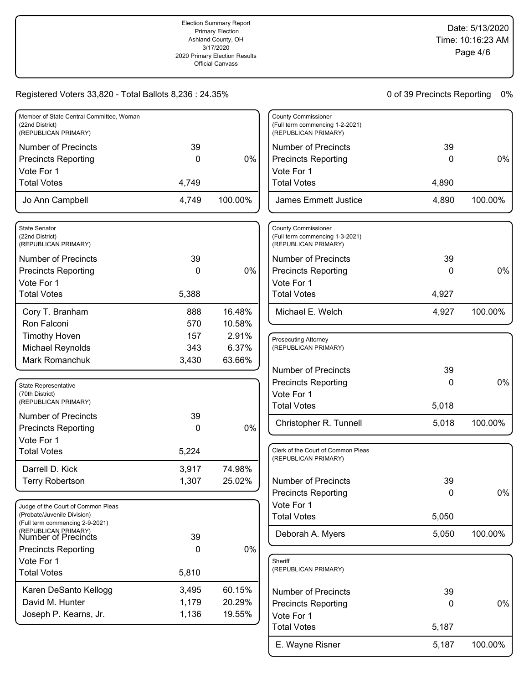# Date: 5/13/2020 Time: 10:16:23 AM Page 4/6

### Registered Voters 33,820 - Total Ballots 8,236 : 24.35%

| Member of State Central Committee, Woman<br>(22nd District)<br>(REPUBLICAN PRIMARY) |       |         |
|-------------------------------------------------------------------------------------|-------|---------|
| Number of Precincts                                                                 | 39    |         |
| <b>Precincts Reporting</b>                                                          | O     | $0\%$   |
| Vote For 1                                                                          |       |         |
| <b>Total Votes</b>                                                                  | 4,749 |         |
| Jo Ann Campbell                                                                     | 4.749 | 100.00% |

| State Senator<br>(22nd District)<br>(REPUBLICAN PRIMARY) |       |        |
|----------------------------------------------------------|-------|--------|
| Number of Precincts                                      | 39    |        |
| <b>Precincts Reporting</b>                               | 0     | $0\%$  |
| Vote For 1                                               |       |        |
| <b>Total Votes</b>                                       | 5,388 |        |
| Cory T. Branham                                          | 888   | 16.48% |
| Ron Falconi                                              | 570   | 10.58% |
| Timothy Hoven                                            | 157   | 2.91%  |
| Michael Reynolds                                         | 343   | 6.37%  |
| Mark Romanchuk                                           | 3,430 | 63.66% |
|                                                          |       |        |

| <b>State Representative</b><br>(70th District)<br>(REPUBLICAN PRIMARY) |              |        |
|------------------------------------------------------------------------|--------------|--------|
| Number of Precincts                                                    | 39           |        |
| <b>Precincts Reporting</b>                                             | $\mathbf{0}$ | $0\%$  |
| Vote For 1                                                             |              |        |
| <b>Total Votes</b>                                                     | 5,224        |        |
| Darrell D. Kick                                                        | 3,917        | 74.98% |
| <b>Terry Robertson</b>                                                 | 1,307        | 25.02% |

| Judge of the Court of Common Pleas<br>(Probate/Juvenile Division)<br>(Full term commencing 2-9-2021)<br>(REPUBLICAN PRIMARY)<br>Number of Precincts | 39    |        |
|-----------------------------------------------------------------------------------------------------------------------------------------------------|-------|--------|
| <b>Precincts Reporting</b>                                                                                                                          | O     | $0\%$  |
| Vote For 1                                                                                                                                          |       |        |
| <b>Total Votes</b>                                                                                                                                  | 5,810 |        |
| Karen DeSanto Kellogg                                                                                                                               | 3,495 | 60.15% |
| David M. Hunter                                                                                                                                     | 1,179 | 20.29% |
| Joseph P. Kearns, Jr.                                                                                                                               | 1,136 | 19.55% |

| <b>County Commissioner</b><br>(Full term commencing 1-2-2021)<br>(REPUBLICAN PRIMARY) |       |         |
|---------------------------------------------------------------------------------------|-------|---------|
| Number of Precincts                                                                   | 39    |         |
| <b>Precincts Reporting</b>                                                            |       | $0\%$   |
| Vote For 1                                                                            |       |         |
| <b>Total Votes</b>                                                                    | 4,890 |         |
| James Emmett Justice                                                                  | 4.890 | 100.00% |

| County Commissioner<br>(Full term commencing 1-3-2021)<br>(REPUBLICAN PRIMARY) |       |         |
|--------------------------------------------------------------------------------|-------|---------|
| Number of Precincts                                                            | 39    |         |
| <b>Precincts Reporting</b>                                                     | 0     | 0%      |
| Vote For 1                                                                     |       |         |
| <b>Total Votes</b>                                                             | 4.927 |         |
| Michael E. Welch                                                               | 4.927 | 100.00% |

| <b>Prosecuting Attorney</b><br>(REPUBLICAN PRIMARY) |       |         |
|-----------------------------------------------------|-------|---------|
| Number of Precincts                                 | 39    |         |
| <b>Precincts Reporting</b>                          | O     | 0%      |
| Vote For 1                                          |       |         |
| <b>Total Votes</b>                                  | 5,018 |         |
| Christopher R. Tunnell                              | 5,018 | 100.00% |
|                                                     |       |         |

| Clerk of the Court of Common Pleas<br>(REPUBLICAN PRIMARY) |       |         |
|------------------------------------------------------------|-------|---------|
| Number of Precincts                                        | 39    |         |
| <b>Precincts Reporting</b>                                 | 0     | 0%      |
| Vote For 1                                                 |       |         |
| <b>Total Votes</b>                                         | 5,050 |         |
| Deborah A. Myers                                           | 5,050 | 100.00% |

| Sheriff<br>(REPUBLICAN PRIMARY) |              |         |
|---------------------------------|--------------|---------|
| Number of Precincts             | 39           |         |
| <b>Precincts Reporting</b>      | $\mathbf{0}$ | $0\%$   |
| Vote For 1                      |              |         |
| <b>Total Votes</b>              | 5,187        |         |
| E. Wayne Risner                 | 5,187        | 100.00% |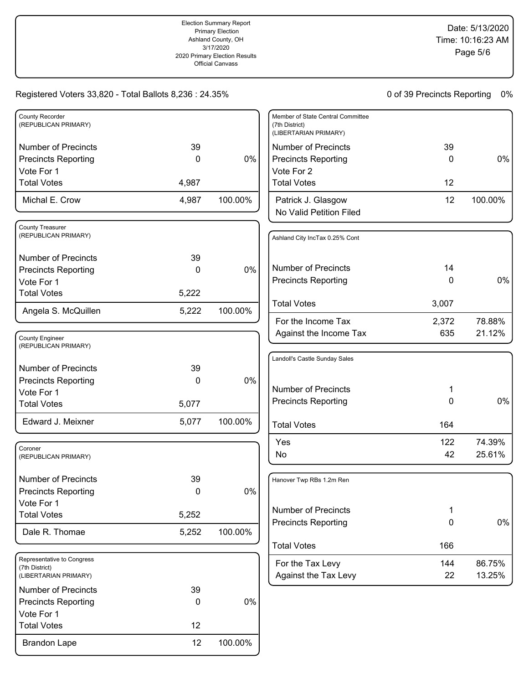| <b>County Recorder</b><br>(REPUBLICAN PRIMARY)                        |       |         |
|-----------------------------------------------------------------------|-------|---------|
| <b>Number of Precincts</b>                                            | 39    |         |
| <b>Precincts Reporting</b>                                            | 0     | 0%      |
| Vote For 1                                                            |       |         |
| <b>Total Votes</b>                                                    | 4,987 |         |
| Michal E. Crow                                                        | 4,987 | 100.00% |
| <b>County Treasurer</b><br>(REPUBLICAN PRIMARY)                       |       |         |
| <b>Number of Precincts</b>                                            | 39    |         |
| <b>Precincts Reporting</b>                                            | 0     | 0%      |
| Vote For 1                                                            |       |         |
| <b>Total Votes</b>                                                    | 5,222 |         |
| Angela S. McQuillen                                                   | 5,222 | 100.00% |
|                                                                       |       |         |
| <b>County Engineer</b><br>(REPUBLICAN PRIMARY)                        |       |         |
| <b>Number of Precincts</b>                                            | 39    |         |
| <b>Precincts Reporting</b>                                            | 0     | 0%      |
| Vote For 1                                                            |       |         |
| <b>Total Votes</b>                                                    | 5,077 |         |
| Edward J. Meixner                                                     | 5,077 | 100.00% |
| Coroner<br>(REPUBLICAN PRIMARY)                                       |       |         |
| <b>Number of Precincts</b>                                            | 39    |         |
| <b>Precincts Reporting</b>                                            | 0     | 0%      |
| Vote For 1                                                            |       |         |
| <b>Total Votes</b>                                                    | 5,252 |         |
| Dale R. Thomae                                                        | 5,252 | 100.00% |
|                                                                       |       |         |
| Representative to Congress<br>(7th District)<br>(LIBERTARIAN PRIMARY) |       |         |
| <b>Number of Precincts</b>                                            | 39    |         |
| <b>Precincts Reporting</b>                                            | 0     | 0%      |
| Vote For 1                                                            |       |         |
| <b>Total Votes</b>                                                    | 12    |         |
| <b>Brandon Lape</b>                                                   | 12    | 100.00% |

| Member of State Central Committee<br>(7th District)<br>(LIBERTARIAN PRIMARY) |    |         |
|------------------------------------------------------------------------------|----|---------|
| Number of Precincts                                                          | 39 |         |
| Precincts Reporting<br>Vote For 2                                            | O  | $0\%$   |
| <b>Total Votes</b>                                                           | 12 |         |
| Patrick J. Glasgow<br>No Valid Petition Filed                                | 12 | 100.00% |
|                                                                              |    |         |
| Ashland City IncTax 0.25% Cont                                               |    |         |

| Number of Precincts        | 14    |        |
|----------------------------|-------|--------|
| <b>Precincts Reporting</b> | 0     | $0\%$  |
| <b>Total Votes</b>         | 3,007 |        |
| For the Income Tax         | 2,372 | 78.88% |
| Against the Income Tax     | 635   | 21.12% |

| Landoll's Castle Sunday Sales |     |        |
|-------------------------------|-----|--------|
| Number of Precincts           | 1   |        |
| <b>Precincts Reporting</b>    | 0   | $0\%$  |
| <b>Total Votes</b>            | 164 |        |
| Yes                           | 122 | 74.39% |
| No                            | 42  | 25.61% |

| Hanover Twp RBs 1.2m Ren                   |           |                  |
|--------------------------------------------|-----------|------------------|
| Number of Precincts<br>Precincts Reporting | 1<br>0    | $0\%$            |
| <b>Total Votes</b>                         | 166       |                  |
| For the Tax Levy<br>Against the Tax Levy   | 144<br>22 | 86.75%<br>13.25% |